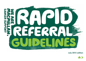

July 2015 edition

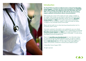

# Introduction

The Rapid Referral guidance toolkit has been produced by [Macmillan](http://www.macmillan.org.uk)  [Cancer Support.](http://www.macmillan.org.uk) It contains the NICE referral guidelines for suspected cancer (2015 update) with additional input from Macmillan GPs and GPAs. It's been produced by GPs for GPs with the aim of providing support, guidance and practical referral recommendations.

We'll maintain the content of this toolkit and make updates available on our website. Other parties are permitted to make use of the content within this toolkit and append locally applicable material. However, **Macmillan** [Cancer Support](http://www.macmillan.org.uk) and [NICE](https://www.nice.org.uk) will not quality check these amendments. In addition, we will not endorse, support or otherwise accept any liability in relation to any amended versions of the toolkit.

Please note the toolkit aims to share learning and good practice, but it is, of necessity, brief in nature.

Information contained in the toolkit is not a substitute for your own clinical judgment or taking specialist professional advice in appropriate circumstances. [Macmillan Cancer Support](http://www.macmillan.org.uk) and [NICE](https://www.nice.org.uk) do not accept any liability for loss of any type caused by reliance on the information in this toolkit – in so far as any such liability cannot be excluded by law.

Please visit **[macmillan.org.uk/professionals](www.macmillan.org.uk/professionals)** for more information about our work and services for people affected by cancer, as well as a range of practical tools for GPs. Tell your patients to call the Macmillan Support Line free on 0808 808 00 00 (Mon–Fri, 9am–8pm) if they need additional support with practical, emotional or financial issues related to cancer.

© Macmillan Cancer Support 2015.

All rights reserved.

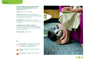### **Glossary**

These descriptions are consistent with and taken from the [2015 NICE](https://www.nice.org.uk/guidance/indevelopment/gid-cgwave0618) guidance for suspected cancer.

Children: From birth to 15 years.

**Direct access:** When a test is performed and primary care retain clinical responsibility throughout, including acting on the result.

Immediate: An acute admission or referral occurring within a few hours, or even more quickly if necessary.

#### Suspected cancer pathway referral:

The patient is seen within the national target for cancer referrals (2 weeks at the time of publication of the NICE guidance).

Young people: Aged 16-24.



Non-urgent: The timescale generally used for a referral or investigation that is not considered very urgent or urgent.

Urgent: To happen/be performed within 2 weeks.

Very urgent: To happen within 48 hours.



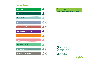### Cancer types



Patient Support, Safety Netting and Diagnostic Access Guidance

Key Diagnostic criteria 6 is available for this cancer type.

Cancer type contacts page.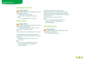### Laryngeal cancer

### Urgent referral:

Consider urgent referral (appointment within two weeks) in patients:

- Aged 45 and over with either:
	- Persistent unexplained hoarseness

**OR** 

– An unexplained lump in the neck.

### Oral cancer

### Urgent referral:

Consider urgent referral (appointment within two weeks) for patients with:

• An unexplained ulceration in the oral cavity lasting for more than 3 weeks

#### **OR**

• A persistent and unexplained lump in the neck

Consider urgent referral (appointment within two weeks) for assessment by a dentist in patients with either:

• An unexplained lump on the lip or in the oral cavity

**OR** 

• A red or red and white patch in the oral cavity consistent with erythroplakia or erythroleukoplakia.

A dentist should consider urgent referral (appointment within two weeks) for patients with either of the following, which have been assessed by a dental surgeon and concluded to be consistent with oral cancer:

- A lump on the lip or the oral cavity **OR**
- A red or red and white patch in the oral cavity consistent with erythroplakia or erythroleukoplakia.

### Thyroid cancer

### Urgent referral:

Consider urgent referral (appointment within two weeks) in patients with:

• An unexplained thyroid lump.

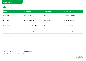| <b>Name</b>           | Title/responsibilty                    | <b>Phone number</b> | <b>Email address</b>      |
|-----------------------|----------------------------------------|---------------------|---------------------------|
| Denise Glanville      | MDT Co-ordinator                       | 01271 314042        | denise.glanville@nhs.net  |
| Claire Baber          | <b>Clinical Nurse Specialist</b>       | 01392 404884        | clairebarber2@nhs.net     |
| <b>Emily Rossiter</b> | Service Manager ENT & OMF              | 01271 335753        | emily.rossiter@nhs.net    |
| Nathan Brasington     | <b>Cancer Services Manager</b>         | 01271 349117        | nathan.brasington@nhs.net |
| Emma Thoms            | <b>Clinical Matron Cancer Services</b> | 01271 311856        | emma.thoms@nhs.net        |
|                       |                                        |                     |                           |
|                       |                                        |                     |                           |

Call the Macmillan Support Line free on 0808 808 00 00 (Mon–Fri, 9am–8pm) or visit <mark>macmillan.org.uk</mark>

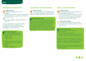# Malignant melanoma

### Urgent referral

Urgently refer (appointment within two weeks) if:

• The patient presents with a suspicious pigmented skin lesion that has a weighted 7-point checklist score of 3 or more

#### OR

• Dermoscopy suggests malignant melanoma of the skin.

Consider urgent referral (appointment within 2 weeks) for melanoma in patients with a pigmented or non-pigmented skin lesion that suggests nodular melanoma.

### Accompanying notes:

The 7-point weighted checklist: Major features (scoring 2 points each)

- Change in size
- Irregular shape
- Irregular colour

Minor features (scoring 1 point each)

- Largest diameter of 7mm or more
- Inflammation
- Oozing
- Change in sensation

# Squamous cell carcinoma

### Urgent referral:

• Consider urgently referring (appointment within two weeks) if patient has a skin lesion that raises the suspicion of squamous cell carcinoma.

### Accompanying notes:

Squamous cell carcinomas are usually raised lesions, a number of typical features have been described: often ulcerated keratinised or crusting lesions and growing typically on the head and neck or back of hand. They occur commonly and are higher risk in anyone who is immunocompromised or had a previous organ transplant. Refer all new skin lesions in this group urgently.

### Basal cell carcinoma

### Urgent referral:

Only consider urgent referral (appointment within two weeks) for patients with:

• A skin lesion that raises the suspicion of a basal cell carcinoma if there is concern that a delay may have an unfavourable impact, because of factors such as lesion site or size.

#### Non-urgent referral:



Consider routine referral for patients with:

• A skin lesion that raises the suspicion of a basal cell carcinoma.

#### **Accompanying notes:**

Features suggestive of a basal cell carcinoma include:

- An ulcer with raised, rolled edge,
- Prominent fine blood vessels around the lesion,
- Nodules, often waxy or pearly in appearance.

Suspected basal cell carcinomas should only be excised in primary care in accordance with the NICE guidance on *Improving outcomes for people with skin tumours including melanoma* (May 2010).

Specific sites of concern are sun-exposed areas such as the scalp, face, hands and arms, particularly in fair-haired patients.

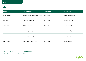# a a

| <b>Name</b>       | Title/responsibilty                      | <b>Phone number</b> | <b>Email address</b>      |
|-------------------|------------------------------------------|---------------------|---------------------------|
| Dr Karen Davies   | Consultant Dermatologist & Clinical Lead | 01271 312854        | karendavies10@nhs.net     |
| Laura Beer        | <b>Clinical Nurse Specialist</b>         | 01271 312850        | laura.beer1@nhs.net       |
| Amy Minns         | MDT Co-ordinator                         | 01271 312856        | a.minns@nhs.net           |
| Nicola Mitchell   | Dermatology Manager, Litchdon            | 01271 312850        | nicola.mitchell8@nhs.net  |
| Nathan Brasington | <b>Cancer Services Manager</b>           | 01271 349117        | nathan.brasington@nhs.net |
| Emma Thoms        | <b>Clinical Matron Cancer Services</b>   | 01271 311856        | emma.thoms@nhs.net        |
|                   |                                          |                     |                           |

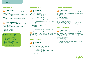### Prostate cancer

### Urgent referral:

Urgently refer men (appointment within two weeks) if either:

• Their prostate feels malignant on digital rectal examination (DRE)

#### OR

• Their prostate specific antigen (PSA) levels are above the age-specific reference range.

### Non-urgent investigation:

Consider a PSA test AND DRE in men with any of the following:

- Any lower urinary tract symptoms, such as nocturia, urinary frequency, hesitancy, urgency or retention
- Erectile dysfunction
- Visible haematuria.

### Accompanying notes:

**Prostate-specific antigen ranges:** 

- 40–49 years 0–2.5ng/L
- 50–59 years 0–3.5ng/L
- $\cdot$  60–69 years 0–4.5nh/L

• 70–79 years 0–6.5ng/L Consider alternative contributing factors that may influence an individual's PSA ranges.

### Bladder cancer

### Urgent referral:

Urgently refer patients (appointment within two weeks) if they are:

- Aged 45 and over with either:
	- Unexplained visible haematuria without urinary tract infection

#### **OR**

- Visible haematuria that persists or recurs after successful treatment of urinary tract infection.
- Aged 60 and over with unexplained non-visible haematuria and either:

#### – Dysuria

OR

– A raised white cell count on a blood test.

### Non-urgent referral:

Consider referral in patients aged 60 and over with recurrent or persistent urinary tract infection that is unexplained.

### Renal cancer

### Urgent referral:

Urgently refer patients (appointment within two weeks) if they are:

- Aged 45 years and over with either:
	- Unexplained visible haematuria without urinary tract infection
	- Visible haematuria that persists or recurs after successful treatment of urinary tract infection.

### Testicular cancer

### Urgent referral:

Consider urgent referral (appointment within two weeks) in men with any of the following changes in the testis:

- Non-painful enlargement
- Change in shape
- Change in texture.

#### Direct access ultrasound:

Consider a direct access ultrasound scan in men with unexplained or persistent testicular symptoms.

### Penile cancer

### Urgent referral:

**Consider urgent referral (appointment within** two weeks) in men with any of the following, after exclusion of sexually transmitted infection as a cause or after treatment for a sexually transmitted infection has been completed:

- A penile mass
- An ulcerated lesion
- Unexplained OR persistent symptoms affecting the foreskin or glans.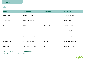### Urological

| <b>Name</b>       | <b>Title/responsibilty</b>             | <b>Phone number</b> | <b>Email address</b>      |
|-------------------|----------------------------------------|---------------------|---------------------------|
| Mr Martin Moody   | Consultant Urologist                   |                     | martinmoody@nhs.net       |
| Ansamma Manoj     | Urology CNS Team Lead                  |                     | amanoj@nhs.net            |
| Nicola O'Brien    | MDT Co-ordinator                       | 01271 349592        | nicolaobrien3@nhs.net     |
| Connie Hall       | MDT Co-ordinator                       | 01271 349592        | consuela.hall@nhs.net     |
| Liz Loftus        | Service Manager: Urology               | 01271 311786        | liz.loftus@nhs.net        |
| Nathan Brasington | <b>Cancer Services Manager</b>         | 01271 349117        | nathan.brasington@nhs.net |
| Emma Thoms        | <b>Clinical Matron Cancer Services</b> | 01271 311856        | emma.thoms@nhs.net        |

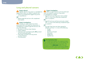### Lung and pleural cancers

#### Urgent referral:

Urgently refer for lung cancer or mesothelioma (appointment within two weeks) in patients with:

• Chest X-ray findings that suggest lung cancer or mesothelioma

**OR** 

• Patients aged 40 and over with unexplained haemoptysis.

### Urgent investigations:

Consider an urgent chest X-ray (to be performed within two weeks) for lung cancer or mesothelioma in patients aged 40 and over with any of the following:

- Persistent or recurrent chest infection
- Finger clubbing
- Supraclavicular lymphadenopathy OR persistent cervical lymphadenopathy
- Chest signs consistent with lung cancer or pleural disease
- Thrombocytosis.

### Urgent investigation:

Offer an urgent chest X-ray (to be performed within two weeks) to assess for lung cancer or mesothelioma in people:

• Aged 40 and over if they have never smoked with 2 or more of the following unexplained signs or symptoms

**OR** 

• Aged 40 and over and have previously smoked with 1 or more of the following unexplained signs or symptoms

#### OR

- Any age if they have ever been exposed to asbestos and have 1 or more of the following:
	- Cough
	- **Fatigue**
	- Shortness of breath
	- Chest pain
	- Weight loss
	- Appetite loss.

### Accompanying notes:

In symptomatic patients, the majority of chest X-rays will be abnormal, but a normal chest X-ray does not exclude diagnosis of lung cancer. This was shown in the [2006 BJGP](http://bjgp.org/content/56/529/570) study of normal and abnormal chest x-rays in lung cancer patients, 23% of lung cancer patients had a negative X-ray.

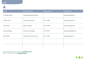| <b>Name</b>            | Title/responsibilty                    | Phone number | <b>Email address</b>      |
|------------------------|----------------------------------------|--------------|---------------------------|
| Dr Georgina Hands      | <b>Consultant Respiratory Medicine</b> |              | georginahands@nhs.net     |
| <b>Caroline Devine</b> | <b>Clinical Nurse Specialist</b>       | 01271 337801 | carolyn.devine@nhs.net    |
| Jenny Stevens          | MDT Co-ordinator                       | 01271 337802 | jenny.stevens6@nhs.net    |
| Nathan Brasington      | <b>Cancer Services Manager</b>         | 01271 349117 | nathan.brasington@nhs.net |
| Emma Thoms             | <b>Clinical Matron Cancer Services</b> | 01271 31856  | emma.thoms@nhs.net        |
|                        |                                        |              |                           |
|                        |                                        |              |                           |

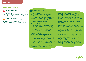### Brain and CNS cancer

### Very urgent referral:

Consider very urgent referral (appointment within 48 hours) in:

• Children and young people with newly abnormal central neurological or cerebellar function.

### Urgent Direct Access:

Consider urgent direct access MRI brain scan (appointment within 2 weeks) in:

• Adults with progressive, sub-acute loss of central neurological function.

#### Accompanying notes:

#### • A 'normal' scan

A normal investigation does not preclude the need for ongoing follow up, monitoring and further investigation. Furthermore, a seemingly 'normal' MRI scan may provide false reassurance in patients who have neurological pathology that MRI scanning is unable to detect.

• Approximately 10% of patients may be unsuitable for, or unable to tolerate an MRI brain scan, e.g. patients with pacemakers in-situ or those with severe claustrophobia. In these patients a CT scan may be more appropriate, taking potential radiation exposure in to consideration.

#### • Incidental findings

A small percentage of MRI scans may yield abnormalities in otherwise healthy individuals. This may impact on these patients in a number of ways including further investigation and the potential impact on health insurance premiums. As incidental findings are not an infrequent result of MRI scanning, patients should have prior counselling and information to make them aware of the potential for such findings as a consequence of their investigation.

- No definition of 'progressive sub-acute loss of central neurological function' has been provided for this update, but the 2005 NICE guidance for suspected cancer includes signs or symptoms that may cause concern, including: progressive neurological deficit, new-onset seizures, headaches, mental changes, cranial nerve palsy.
- Headaches of recent onset accompanied by features suggestive of raised intracranial pressure, e.g. vomiting, drowsiness, posture-related headache, pulse-synchronous tinnitus, or other focal or non-focal neurological symptoms, such as blackout or change in personality or memory.
- Consider urgent referral in patients with rapid progression of: sub-acute focal neurological deficit; unexplained cognitive impairment, behavioural disturbance or slowness, or a combination of these; personality changes confirmed by a witness and for which there is no reasonable explanation even in the absence of the other symptoms or signs of a brain tumour.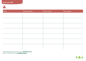| Name | Title/responsibilty | <b>Phone number</b> | <b>Email address</b> |
|------|---------------------|---------------------|----------------------|
|      |                     |                     |                      |
|      |                     |                     |                      |
|      |                     |                     |                      |
|      |                     |                     |                      |
|      |                     |                     |                      |
|      |                     |                     |                      |
|      |                     |                     |                      |
|      |                     |                     |                      |
|      |                     |                     |                      |
|      |                     |                     |                      |
|      |                     |                     |                      |
|      |                     |                     |                      |
|      |                     |                     |                      |
|      |                     |                     |                      |

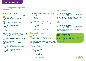### Oesophageal and gastric cancer

O - Oesophageal G - Gastric

### Urgent referral for endoscopy within two weeks:

Urgently refer patients presenting with:

• Dysphagia (at any age) (OG)

#### OR

- Aged 55 and over with weight loss AND
	- Upper abdominal pain

#### OR

– Reflux

### OR

– Dyspepsia (OG).

Consider urgent referral (appointment within two weeks) for patients with an upper abdominal mass consistent with stomach cancer (G).

### Non-urgent direct access endoscopy:

Consider non-urgent direct access endoscopy for patients presenting with:

• Haematemesis (at any age) (OG)

#### OR

- Aged 55 and over with:
	- Treatment resistant dyspepsia (OG)

#### OR

– Upper abdominal pain and low haemoglobin (OG)

OR

- Raised platelet count with any of the following:
	- Nausea
	- Vomiting
	- Reflux
	- Weight loss
	- Dyspepsia
	- Upper abdominal pain (OG)

#### OR

- Nausea or vomiting with any of the following:
	- Weight loss
	- Reflux
	- Dyspepsia
	- Upper abdominal pain (OG).

### Pancreatic cancer

### Urgent referral:

Urgently refer patients (appointment within two weeks) if aged 40 and over with jaundice.

#### Urgent direct access CT scan or an urgent ultrasound scan if CT scan is not available:

Consider urgent direct access CT scan (within two weeks) or ultrasound scan if CT scan is not available for patients:

- Aged 60 and over, displaying weight loss AND any of the following:
	- Diarrhoea
	- Back pain
	- Abdominal pain
	- Nausea/vomiting
	- Constipation
	- New-onset diabetes.

### Gall bladder

### Urgent direct access

Consider an urgent direct access ultrasound scan (within two weeks) to assess for gall bladder cancer in people with an upper abdominal mass consistent with an enlarged gall bladder.

### Liver cancer

### Urgent direct access

Consider an urgent direct access ultrasound scan (within two weeks) to assess for liver cancer in people with an upper abdominal mass consistent with an enlarged liver.

### **Accompanying notes:**

Consider that 10% of pancreatic cancers are missed by abdomen ultrasounds, whilst tumours smaller than 3cm will not be visible using an ultrasound. CT scans have the advantage of staging at the same time.

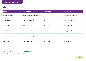| <b>Name</b>         | Title/responsibilty                    | <b>Phone number</b> | <b>Email address</b>        |
|---------------------|----------------------------------------|---------------------|-----------------------------|
| Dr Jenny Macpherson | Consultant Radiologist & Clinical Lead |                     | jennifer.macpherson@nhs.net |
| Sarah Dowson        | <b>Clinical Nurse Specialist</b>       | 01271 314147        | sarahdowson@nhs.net         |
| Alison Wilkes       | MDT Co-ordinator                       | 01271 349578        | alison.wilkes@nhs.net       |
| Di Addington        | Service Manager Endoscopy & Gastro     | 01271 325990        | d.addington1@nhs.net        |
| Nathan Brasington   | <b>Cancer Services Manager</b>         | 01271 349117        | nathan.brasington@nhs.net   |
| Emma Thoms          | <b>Clinical Matron Cancer Services</b> | 01271 311856        | emma.thoms@nhs.net          |
|                     |                                        |                     |                             |

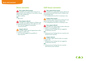### Bone sarcoma

### Very urgent direct access:

Consider a very urgent direct access X-ray (appointment within 48 hours) in any child or young person with unexplained:

• Bone swelling

**OR** 

• Bone pain.

### Very Urgent referral:

Consider very urgent referral in children and young people (appointment within 48 hours) with:

• An X-ray that suggests the possibility of bone sarcoma.

### Urgent referral:

Consider urgent referral (appointment within two weeks) in adults with:

• An X-ray that suggests the possibility of bone sarcoma.

### Soft tissue sarcoma

### Very urgent direct access:

Consider very urgent direct access ultrasound scan (performed within 48 hours) for children and young people with:

• An unexplained lump that is increasing in size.

### Urgent direct access:

Consider urgent direct access ultrasound scan (performed within two weeks) in adults with:

• An unexplained lump that is increasing in size.

### Very urgent referral:

Consider very urgent referral (within 48 hours) in children or young people with:

• Ultrasound scan findings that are suggestive of soft-tissue sarcoma

### **OR**

• Ultrasound scan findings that are uncertain and clinical concern persists.

### Urgent referral:

Consider urgent referral (within two weeks) in adults with:

• Ultrasound scan findings that are suggestive of soft-tissue sarcoma

### OR

• Ultrasound scan findings that are uncertain and clinical concern persists.

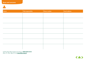| <b>Name</b> | Title/responsibilty | <b>Phone number</b> | <b>Email address</b> |
|-------------|---------------------|---------------------|----------------------|
|             |                     |                     |                      |
|             |                     |                     |                      |
|             |                     |                     |                      |
|             |                     |                     |                      |
|             |                     |                     |                      |
|             |                     |                     |                      |
|             |                     |                     |                      |
|             |                     |                     |                      |
|             |                     |                     |                      |
|             |                     |                     |                      |
|             |                     |                     |                      |
|             |                     |                     |                      |
|             |                     |                     |                      |
|             |                     |                     |                      |

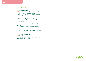### Breast cancer

#### Urgent referral:

Urgently refer patients (appointment within two weeks) if they are male or female:

• Aged 30 and over with an unexplained breast lump (with or without pain)

**OR** 

• Aged 50 and over with any unilateral nipple changes of concern including discharge or retraction.

Consider urgent referral (appointment within two weeks) if:

• There are skin changes suggestive of breast cancer

**OR** 

• They are aged 30 and over with an unexplained lump in the axilla.



#### Non-urgent referral:

Consider non-urgent referral in patients under the age of 30 with an unexplained breast lump (with or without pain).

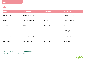| Name              | Title/responsibilty                    | <b>Phone number</b> | <b>Email address</b>      |
|-------------------|----------------------------------------|---------------------|---------------------------|
| Mr John Groome    | <b>Consultant Breast Surgeon</b>       |                     | john.groome@nhs.net       |
| Karen Hillman     | <b>Clinical Nurse Specialist</b>       | 01271 349115        | karenhillman@nhs.net      |
| Tara Jones        | MDT Co-ordinator                       | 01271 335783        | tarajones@nhs.net         |
| Liz Loftus        | Service Manager: Breast                | 01271 311786        | liz.loftus@nhs.net        |
| Nathan Brasington | <b>Cancer Services Manager</b>         | 01271 349117        | nathan.brasington@nhs.net |
| Emma Thoms        | <b>Clinical Matron Cancer Services</b> | 01271 311856        | emma.thoms@nhs.net        |
|                   |                                        |                     |                           |

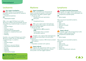### Leukaemia

### Very urgent investigation:

Refer children and young people for immediate specialist assessment for leukaemia if they have:

• Unexplained petechiae

#### OR

• Hepatosplenomegaly.

Offer a very urgent full blood count (within 48 hours) in children and young people with any of the following unexplained signs or symptoms:

- Pallor
- Persistent fatigue
- Fever
- Persistent infection
- Generalised lymphadenopathy
- Persistent or unexplained bone pain
- Bruising
- Bleeding.

Consider a very urgent full blood count (within 48 hours) in adults with any of the following unexplained signs or symptoms:

- Pallor
- Persistent fatigue
- Fever
- Persistent or recurrent infection
- Generalised lymphadenopathy
- Bruising
- Bleeding
- Petechiae
- Hepatosplenomegaly.

### Accompanying notes:

Refer adults, children and young people with a blood count or blood film reported as acute leukaemia immediately.

# Myeloma

### Urgent investigation:

Offer a full blood count, blood tests for calcium and plasma viscosity or erythrocyte sedimentation rate (ESR) to patients aged:

- 60 and over with:
	- Persistent bone pain (particularly back pain)
	- **OR**
	- Unexplained fracture.

Offer a very urgent protein electrophoresis and a Bence-Jones protein urine test (within K) 48 hours) to patients aged:

- 60 and over with:
	- Hypercalcaemia OR Leucopenia **AND**
	- A presentation that is consistent with possible myeloma.

### Consider a very urgent protein electrophoresis

W and Bence-Jones protein urine test (within

- 48 hours) if:
- Raised plasma viscosity or ESR at levels consistent with myeloma

#### AND

• Presentation consistent with myeloma.

### Urgent referral:

Urgently refer (appointment within two weeks) if the results of protein electrophoresis or Bence-Jones protein urine test suggest myeloma.

# Lymphoma

### Immediate Specialist Assessment:

Consider very urgent referral (appointment within 48 hours) in children and young people with:

• Unexplained lymphadenopathy

### OR

• Splenomegaly.

Take in to account associated symptoms, particularly:

- Fever
- Night sweats
- Shortness of breath
- Pruritus
- Weight loss.

### Urgent referral:

Consider urgent referral (appointment within two weeks) in adults presenting with:

• Unexplained lymphadenopathy

#### OR

• Splenomegaly.

Take in to account associated symptoms, particularly:

- Fever
- Night sweats
- Shortness of breath
- Pruritus
- Weight loss
- Alcohol-induced lymph node pain.

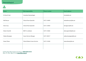| <b>Name</b>       | <b>Title/responsibilty</b>             | <b>Phone number</b> | <b>Email address</b>      |
|-------------------|----------------------------------------|---------------------|---------------------------|
| Dr David Veale    | <b>Consultant Haematologist</b>        |                     | dveale@nhs.net            |
| Mel Bowyer        | <b>Clinical Nurse Specialist</b>       | 01271 314043        | melaniebowyer@nhs.net     |
| Dawn Gray         | <b>Clinical Nurse Specialist</b>       | 01271 314043        | dawngray1@nhs.net         |
| Denise Glanville  | MDT Co-ordinator                       | 01271 314042        | denise.glanville@nhs.net  |
| Nathan Brasington | <b>Cancer Services Manager</b>         | 01271 349117        | nathan.brasington@nhs.net |
| Emma Thoms        | <b>Clinical Matron Cancer Services</b> | 01271 311856        | emma.thoms@nhs.net        |
|                   |                                        |                     |                           |

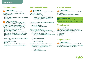### Ovarian cancer

### Urgent referral:

Urgently refer (appointment within two weeks) if physical examination identifies any of the following:

- Ascites
- Pelvic or abdominal mass (which is not obviously uterine fibroids).

### Urgent Investigation:

**Arrange CA125 and/or ultrasound tests** in women (especially if 50 or over) with any of the following on a persistent or frequent basisparticularly more than 12 times per month:

- Persistent abdominal distension (bloating)
- Early satiety and/or loss of appetite
- Pelvic or abdominal pain
- Increased urinary urgency and/or frequency
- New onset symptoms suggestive of IBS (as IBS rarely presents for the first time in women of this age).

Consider CA125 and/or ultrasound tests if a woman reports any of the following:

- Unexplained weight loss
- Fatigue
- Changes in bowel habit (though colorectal cancer is a more common malignant cause).

### Endometrial Cancer

### Urgent referral:

Urgently refer women (appointment within two weeks) if they are:

- Aged 55 and over with:
	- Post-menopausal bleeding (unexplained vaginal bleeding more than 12 months after menstruation has stopped due to the menopause).

Consider urgent referral (appointment within two weeks) if they are:

- Aged under 55 with:
	- Post-menopausal bleeding.

### Direct Access Ultrasound:

Consider direct access ultrasound in women:

- Aged 55 and over presenting with unexplained symptoms of vaginal discharge who:
	- Are presenting with these symptoms for the first time

### **OR**

– Have thrombocytosis

#### OR

– Report haematuria.

Consider direct access ultrasound in women:

- Aged 55 and over presenting with visible haematuria and any of the following:
	- Low haemoglobin
	- Thrombocytosis
	- High blood glucose level.

# Cervical cancer

### Urgent referral:

Consider urgent referral (appointment within two weeks) if:

• The appearance of the woman's cervix is consistent with cervical cancer.

#### Accompanying notes:

A smear test is not required before referral, and a previous negative result should not delay referral.

### Vulval cancer

### Urgent referral:

Consider urgently referring (appointment within two weeks) women with any of the following unexplained vulval signs or symptoms:

- A vulval lump
- Ulceration
- Bleeding.

# Vaginal cancer

Urgent referral:

Consider urgent referral (appointment within two weeks) in women with an unexplained palpable mass in or at the entrance to the vagina.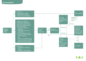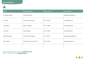| <b>Name</b>        | Title/responsibilty                    | Phone number | <b>Email address</b>      |
|--------------------|----------------------------------------|--------------|---------------------------|
| Mr Stephen Bennett | <b>Consultant Surgeon</b>              |              | stephenbennett1@nhs.net   |
| Jo Gordon          | <b>Clinical Nurse Specialist</b>       | 01271 370210 | Jo.Gordon@nhs.net         |
| Jo Chapman         | MDT Co-ordinator                       | 01271 314094 | Jo.Gordon@nhs.net         |
| Lisa Wells         | Group Manager                          | 01271 314010 | lisa.wells@nhs.net        |
| Nathan Brasington  | <b>Cancer Services Manager</b>         | 01271 349117 | nathan.brasington@nhs.net |
| Emma Thoms         | <b>Clinical Matron Cancer Services</b> | 01271 311856 | emma.thoms@nhs.net        |
|                    |                                        |              |                           |

Call the Macmillan Support Line free on 0808 808 00 00 (Mon–Fri, 9am–8pm) or visit <mark>macmillan.org.uk</mark>

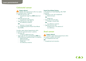### Colorectal cancer

### Urgent referral:

Urgently refer (appointment within two weeks) for colorectal cancer in patients:

- Aged 40 and over with:
	- Unexplained weight loss AND abdominal pain
- Aged 50 and over with:
	- Unexplained rectal bleeding
- Aged 60 and over with either:
	- Iron deficiency anaemia

### OR

- Alteration in bowel habit
- An unexplained positive Faecal Occult Blood Test (FOBT).

Consider urgent referral (appointment within 2 weeks) for colorectal cancer in patients:

- Any age with:
	- A rectal or abdominal mass
- Aged under 50 with rectal bleeding **AND** any of the following unexplained signs or symptoms:
	- Abdominal pain
	- Altered bowel habit
	- Weight loss
	- Iron deficiency anaemia.

### Faecal Occult Blood Testing

In the absence of rectal bleeding, offer FOBT to patients:

- Aged 50 or over with unexplained:
	- Abdominal pain

### OR

- Weight loss
- Aged under 60 with either:
	- Changes in bowel habit

#### **OR**

- Iron-deficiency anaemia
- Aged 60 and over with:
	- Anaemia even in the absence of iron deficiency.

### Anal cancer

### Urgent referral:

Consider urgent referral (appointment within two weeks) in patients with either:

• An unexplained anal mass

OR

• Unexplained anal ulceration.

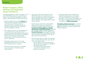### **Guidance**

### Patient Support, Safety Netting and Diagnostic Access Guidance

The following guidance is taken from pages 114–117 of the NICE 2015 guidance for suspected cancer referral, it includes recommendations on patient support, safety netting and the diagnostic process:

- Explain to people who are being [referred](http://www.londoncanceralliance.nhs.uk/media/89869/patient-information-for-urgent-referrals-revised-january-2015.pdf) with suspected cancer that they are being referred to a cancer service. Reassure them, as appropriate, that most people referred will not have a diagnosis of cancer, and discuss alternative diagnoses with them.
- When referring a person with suspected cancer to a specialist service, assess their need for continuing support while waiting for their referral appointment. If the person does have additional support needs because of their personal circumstances, inform the specialist (with the person's agreement).
- Advise those patients who may not meet immediate referral criteria to re-consult their GP if symptoms persist or progress.
- If direct access for some tests is unavailable in your area, seek an alternative urgent referral pathway.
- You will note that some symptoms from the 2005 NICE guidance for suspected cancer referral have been removed from the guidance update, although there may be no explicit recommendations, refer appropriately if clinical concern persists.
- Give the person information on the possible diagnosis (both benign and malignant) in accordance with their wishes for information [\(see also the NICE guideline on patient](http://www.nice.org.uk/guidance/cg138)  [experiences in adult NHS services\)](http://www.nice.org.uk/guidance/cg138). Macmillan has more than 500 free booklets available at [be.macmillan.org.uk](http://be.macmillan.org.uk/be/s-4-order-information.aspx), covering different types of cancer, treatments and side effects. They also offer information and guidance on the day-today issues of living with cancer.
- The information given to people with suspected cancer and their families and/or carers should cover, among other issues:
	- How to obtain further information about the type of cancer suspected or help before the specialist appointment
	- What type of tests may be carried out, and what will happen during diagnostic procedures.

• Provide information that is culturally and linguistically appropriate as well as taking in to account the patient's level of ability. Macmillan's most commonly requested cancer information is available online to download in a selection of [different languages](http://be.macmillan.org.uk/be/s-373-other-languages.aspx).

[Macmillan's Online Community](http://community.macmillan.org.uk/) is a network of people affected by cancer which anyone can [join](https://my.macmillan.org.uk/Account/Register) to get support from others going through a similar experience.